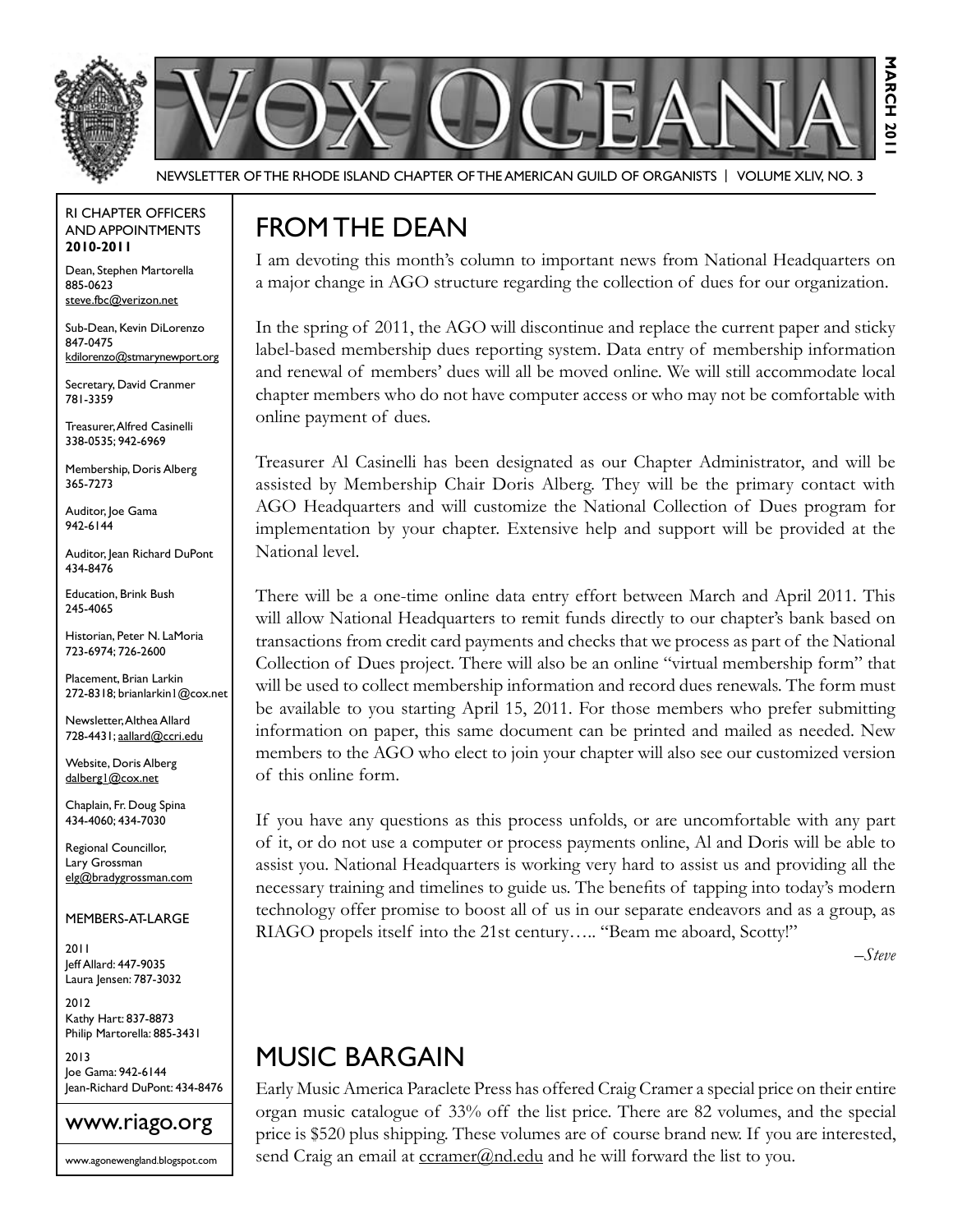



Newsletter of the Rhode Island Chapter of the American Guild of OrganistS | Volume XLIV, No. 3

#### RI Chapter Officers and Appointments **2010-2011**

Dean, Stephen Martorella 885-0623 steve.fbc@verizon.net

Sub-Dean, Kevin DiLorenzo 847-0475 kdilorenzo@stmarynewport.org

Secretary, David Cranmer 781-3359

Treasurer, Alfred Casinelli 338-0535; 942-6969

Membership, Doris Alberg 365-7273

Auditor, loe Gama 942-6144

Auditor, Jean Richard DuPont 434-8476

Education, Brink Bush 245-4065

Historian, Peter N. LaMoria 723-6974; 726-2600

Placement, Brian Larkin 272-8318; brianlarkin1@cox.net

Newsletter, Althea Allard 728-4431; aallard@ccri.edu

Website, Doris Alberg dalberg1@cox.net

Chaplain, Fr. Doug Spina 434-4060; 434-7030

Regional Councillor, Lary Grossman elg@bradygrossman.com

Members-at-Large

2011 Jeff Allard: 447-9035 Laura Jensen: 787-3032

2012 Kathy Hart: 837-8873 Philip Martorella: 885-3431

2013 Joe Gama: 942-6144 Jean-Richard DuPont: 434-8476



### From the Dean

I am devoting this month's column to important news from National Headquarters on a major change in AGO structure regarding the collection of dues for our organization.

In the spring of 2011, the AGO will discontinue and replace the current paper and sticky label-based membership dues reporting system. Data entry of membership information and renewal of members' dues will all be moved online. We will still accommodate local chapter members who do not have computer access or who may not be comfortable with online payment of dues.

Treasurer Al Casinelli has been designated as our Chapter Administrator, and will be assisted by Membership Chair Doris Alberg. They will be the primary contact with AGO Headquarters and will customize the National Collection of Dues program for implementation by your chapter. Extensive help and support will be provided at the National level.

There will be a one-time online data entry effort between March and April 2011. This will allow National Headquarters to remit funds directly to our chapter's bank based on transactions from credit card payments and checks that we process as part of the National Collection of Dues project. There will also be an online "virtual membership form" that will be used to collect membership information and record dues renewals. The form must be available to you starting April 15, 2011. For those members who prefer submitting information on paper, this same document can be printed and mailed as needed. New members to the AGO who elect to join your chapter will also see our customized version of this online form.

If you have any questions as this process unfolds, or are uncomfortable with any part of it, or do not use a computer or process payments online, Al and Doris will be able to assist you. National Headquarters is working very hard to assist us and providing all the necessary training and timelines to guide us. The benefits of tapping into today's modern technology offer promise to boost all of us in our separate endeavors and as a group, as RIAGO propels itself into the 21st century….. "Beam me aboard, Scotty!"

*–Steve*

**March 2011**

 $1201$ 

**NARCH** 

# Music Bargain

Early Music America Paraclete Press has offered Craig Cramer a special price on their entire organ music catalogue of 33% off the list price. There are 82 volumes, and the special price is \$520 plus shipping. These volumes are of course brand new. If you are interested, send Craig an email at ccramer@nd.edu and he will forward the list to you.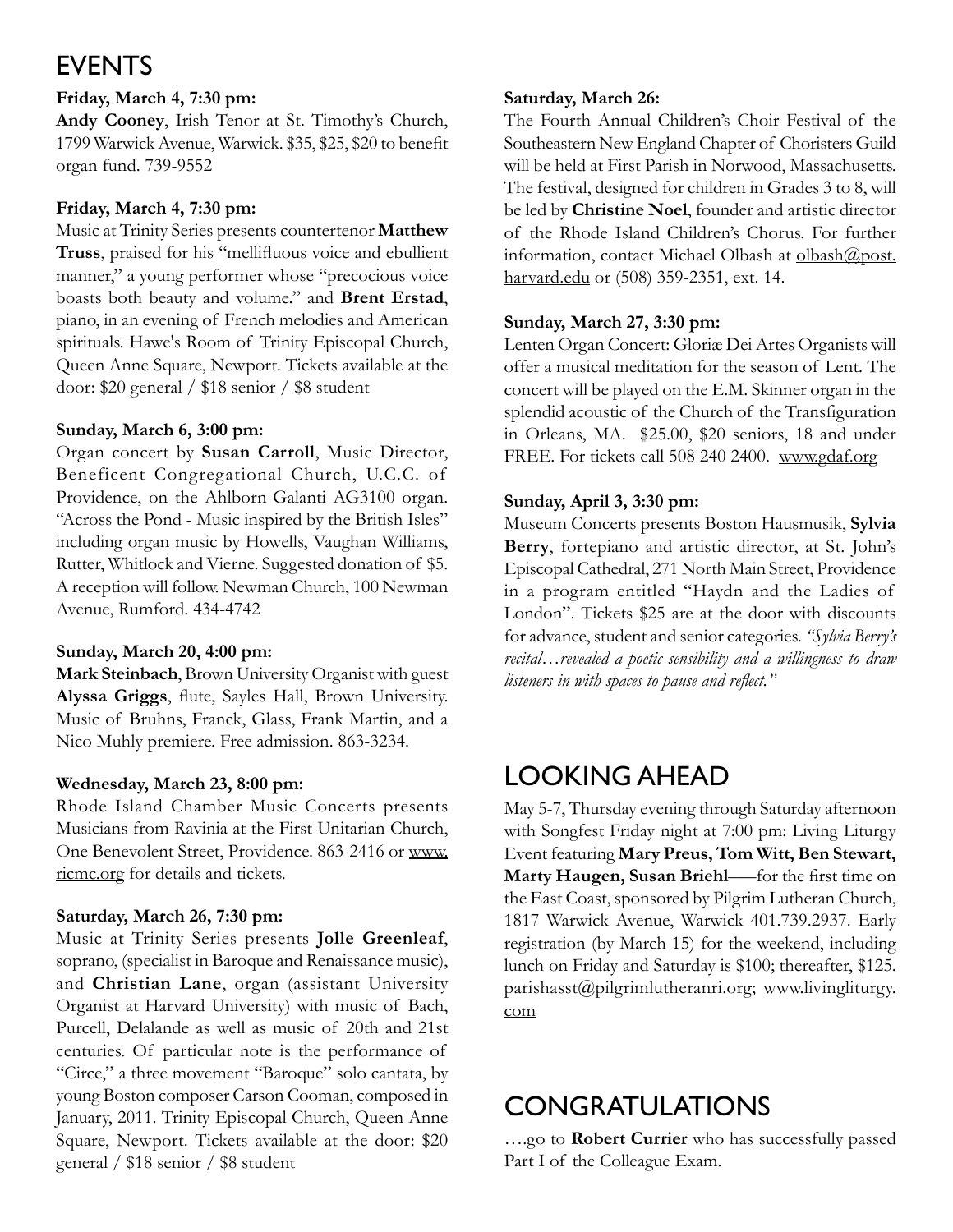### **EVENTS**

### **Friday, March 4, 7:30 pm:**

**Andy Cooney**, Irish Tenor at St. Timothy's Church, 1799 Warwick Avenue, Warwick. \$35, \$25, \$20 to benefit organ fund. 739-9552

#### **Friday, March 4, 7:30 pm:**

Music at Trinity Series presents countertenor **Matthew Truss**, praised for his "mellifluous voice and ebullient manner," a young performer whose "precocious voice boasts both beauty and volume." and **Brent Erstad**, piano, in an evening of French melodies and American spirituals. Hawe's Room of Trinity Episcopal Church, Queen Anne Square, Newport. Tickets available at the door: \$20 general / \$18 senior / \$8 student

#### **Sunday, March 6, 3:00 pm:**

Organ concert by **Susan Carroll**, Music Director, Beneficent Congregational Church, U.C.C. of Providence, on the Ahlborn-Galanti AG3100 organ. "Across the Pond - Music inspired by the British Isles" including organ music by Howells, Vaughan Williams, Rutter, Whitlock and Vierne. Suggested donation of \$5. A reception will follow. Newman Church, 100 Newman Avenue, Rumford. 434-4742

### **Sunday, March 20, 4:00 pm:**

**Mark Steinbach**, Brown University Organist with guest **Alyssa Griggs**, flute, Sayles Hall, Brown University. Music of Bruhns, Franck, Glass, Frank Martin, and a Nico Muhly premiere. Free admission. 863-3234.

#### **Wednesday, March 23, 8:00 pm:**

Rhode Island Chamber Music Concerts presents Musicians from Ravinia at the First Unitarian Church, One Benevolent Street, Providence. 863-2416 or www. ricmc.org for details and tickets.

#### **Saturday, March 26, 7:30 pm:**

Music at Trinity Series presents **Jolle Greenleaf**, soprano, (specialist in Baroque and Renaissance music), and **Christian Lane**, organ (assistant University Organist at Harvard University) with music of Bach, Purcell, Delalande as well as music of 20th and 21st centuries. Of particular note is the performance of "Circe," a three movement "Baroque" solo cantata, by young Boston composer Carson Cooman, composed in January, 2011. Trinity Episcopal Church, Queen Anne Square, Newport. Tickets available at the door: \$20 general / \$18 senior / \$8 student

### **Saturday, March 26:**

The Fourth Annual Children's Choir Festival of the Southeastern New England Chapter of Choristers Guild will be held at First Parish in Norwood, Massachusetts. The festival, designed for children in Grades 3 to 8, will be led by **Christine Noel**, founder and artistic director of the Rhode Island Children's Chorus. For further information, contact Michael Olbash at olbash@post. harvard.edu or (508) 359-2351, ext. 14.

### **Sunday, March 27, 3:30 pm:**

Lenten Organ Concert: Gloriæ Dei Artes Organists will offer a musical meditation for the season of Lent. The concert will be played on the E.M. Skinner organ in the splendid acoustic of the Church of the Transfiguration in Orleans, MA. \$25.00, \$20 seniors, 18 and under FREE. For tickets call 508 240 2400. www.gdaf.org

### **Sunday, April 3, 3:30 pm:**

Museum Concerts presents Boston Hausmusik, **Sylvia Berry**, fortepiano and artistic director, at St. John's Episcopal Cathedral, 271 North Main Street, Providence in a program entitled "Haydn and the Ladies of London". Tickets \$25 are at the door with discounts for advance, student and senior categories. *"Sylvia Berry's recital…revealed a poetic sensibility and a willingness to draw listeners in with spaces to pause and reflect."*

## Looking Ahead

May 5-7, Thursday evening through Saturday afternoon with Songfest Friday night at 7:00 pm: Living Liturgy Event featuring **Mary Preus, Tom Witt, Ben Stewart,**  Marty Haugen, Susan Briehl—for the first time on the East Coast, sponsored by Pilgrim Lutheran Church, 1817 Warwick Avenue, Warwick 401.739.2937. Early registration (by March 15) for the weekend, including lunch on Friday and Saturday is \$100; thereafter, \$125. parishasst@pilgrimlutheranri.org; www.livingliturgy. com

## CONGRATULATIONS

….go to **Robert Currier** who has successfully passed Part I of the Colleague Exam.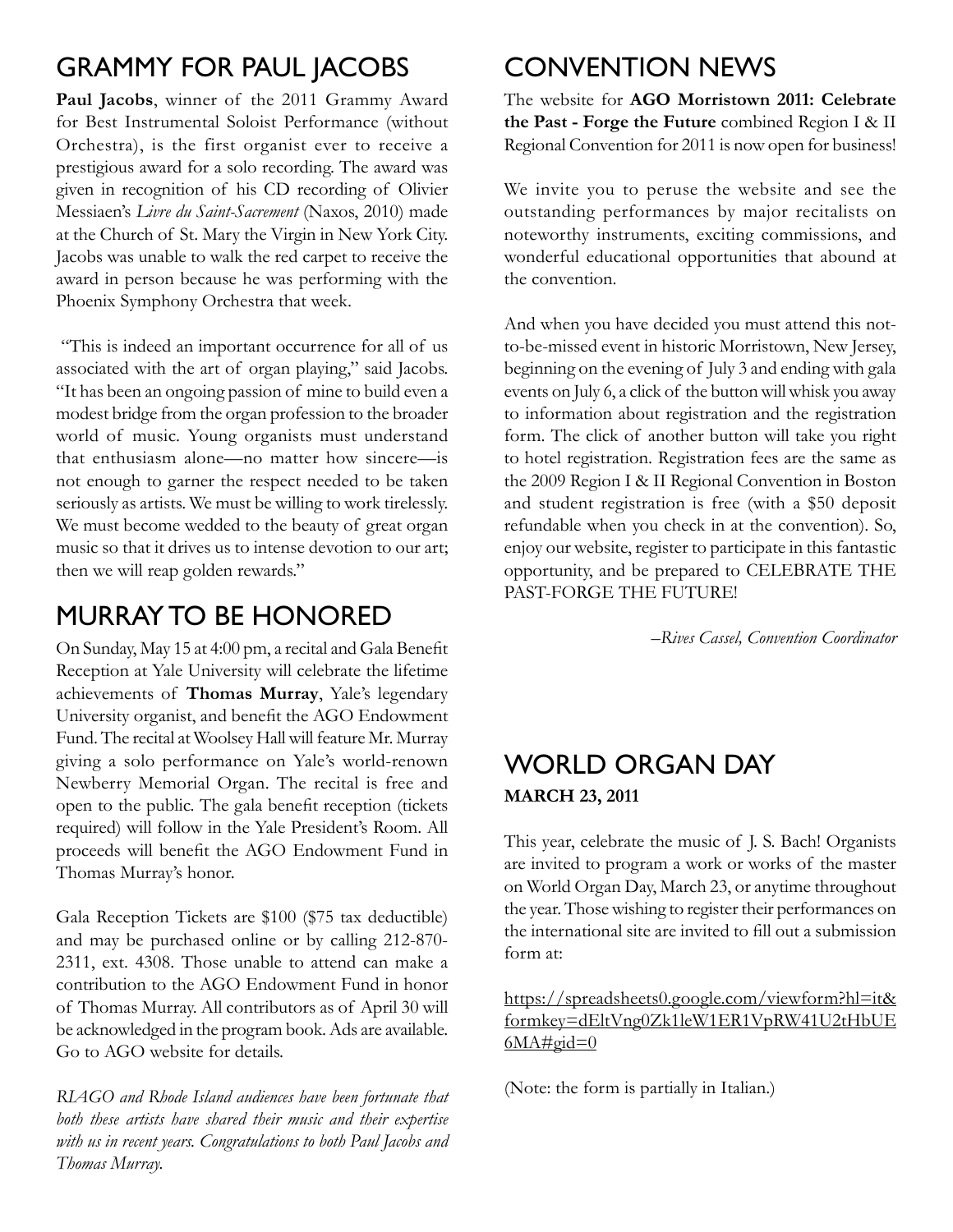## Grammy for Paul Jacobs

**Paul Jacobs**, winner of the 2011 Grammy Award for Best Instrumental Soloist Performance (without Orchestra), is the first organist ever to receive a prestigious award for a solo recording. The award was given in recognition of his CD recording of Olivier Messiaen's *Livre du Saint-Sacrement* (Naxos, 2010) made at the Church of St. Mary the Virgin in New York City. Jacobs was unable to walk the red carpet to receive the award in person because he was performing with the Phoenix Symphony Orchestra that week.

 "This is indeed an important occurrence for all of us associated with the art of organ playing," said Jacobs. "It has been an ongoing passion of mine to build even a modest bridge from the organ profession to the broader world of music. Young organists must understand that enthusiasm alone—no matter how sincere—is not enough to garner the respect needed to be taken seriously as artists. We must be willing to work tirelessly. We must become wedded to the beauty of great organ music so that it drives us to intense devotion to our art; then we will reap golden rewards."

## Murray to be honored

On Sunday, May 15 at 4:00 pm, a recital and Gala Benefit Reception at Yale University will celebrate the lifetime achievements of **Thomas Murray**, Yale's legendary University organist, and benefit the AGO Endowment Fund. The recital at Woolsey Hall will feature Mr. Murray giving a solo performance on Yale's world-renown Newberry Memorial Organ. The recital is free and open to the public. The gala benefit reception (tickets required) will follow in the Yale President's Room. All proceeds will benefit the AGO Endowment Fund in Thomas Murray's honor.

Gala Reception Tickets are \$100 (\$75 tax deductible) and may be purchased online or by calling 212-870- 2311, ext. 4308. Those unable to attend can make a contribution to the AGO Endowment Fund in honor of Thomas Murray. All contributors as of April 30 will be acknowledged in the program book. Ads are available. Go to AGO website for details.

*RIAGO and Rhode Island audiences have been fortunate that both these artists have shared their music and their expertise with us in recent years. Congratulations to both Paul Jacobs and Thomas Murray.*

### Convention News

The website for **AGO Morristown 2011: Celebrate the Past - Forge the Future** combined Region I & II Regional Convention for 2011 is now open for business!

We invite you to peruse the website and see the outstanding performances by major recitalists on noteworthy instruments, exciting commissions, and wonderful educational opportunities that abound at the convention.

And when you have decided you must attend this notto-be-missed event in historic Morristown, New Jersey, beginning on the evening of July 3 and ending with gala events on July 6, a click of the button will whisk you away to information about registration and the registration form. The click of another button will take you right to hotel registration. Registration fees are the same as the 2009 Region I & II Regional Convention in Boston and student registration is free (with a \$50 deposit refundable when you check in at the convention). So, enjoy our website, register to participate in this fantastic opportunity, and be prepared to CELEBRATE THE PAST-FORGE THE FUTURE!

*–Rives Cassel, Convention Coordinator*

### World Organ Day **March 23, 2011**

This year, celebrate the music of J. S. Bach! Organists are invited to program a work or works of the master on World Organ Day, March 23, or anytime throughout the year. Those wishing to register their performances on the international site are invited to fill out a submission form at:

https://spreadsheets0.google.com/viewform?hl=it& formkey=dEltVng0Zk1leW1ER1VpRW41U2tHbUE  $6MA\#gid=0$ 

(Note: the form is partially in Italian.)